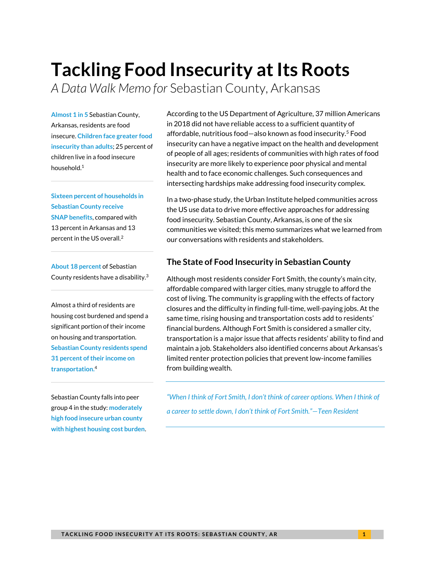# **Tackling Food Insecurity at Its Roots**

*A Data Walk Memo for* Sebastian County, Arkansas

**Almost 1 in 5** Sebastian County, Arkansas, residents are food insecure. **Children face greater food insecurity than adults**; 25 percent of children live in a food insecure household.<sup>1</sup>

**Sixteen percent of households in Sebastian County receive SNAP benefits**, compared with 13 percent in Arkansas and 13 percent in the US overall. 2

**About 18 percent** of Sebastian County residents have a disability.<sup>3</sup>

Almost a third of residents are housing cost burdened and spend a significant portion of their income on housing and transportation. **Sebastian County residents spend 31 percent of their income on transportation.**<sup>4</sup>

Sebastian County falls into peer group 4 in the study: **moderately high food insecure urban county with highest housing cost burden**. According to the US Department of Agriculture, 37 million Americans in 2018 did not have reliable access to a sufficient quantity of affordable, nutritious food—also known as food insecurity.<sup>5</sup> Food insecurity can have a negative impact on the health and development of people of all ages; residents of communities with high rates of food insecurity are more likely to experience poor physical and mental health and to face economic challenges. Such consequences and intersecting hardships make addressing food insecurity complex.

In a two-phase study, the Urban Institute helped communities across the US use data to drive more effective approaches for addressing food insecurity. Sebastian County, Arkansas, is one of the six communities we visited; this memo summarizes what we learned from our conversations with residents and stakeholders.

#### **The State of Food Insecurity in Sebastian County**

Although most residents consider Fort Smith, the county's main city, affordable compared with larger cities, many struggle to afford the cost of living. The community is grappling with the effects of factory closures and the difficulty in finding full-time, well-paying jobs. At the same time, rising housing and transportation costs add to residents' financial burdens. Although Fort Smith is considered a smaller city, transportation is a major issue that affects residents' ability to find and maintain a job. Stakeholders also identified concerns about Arkansas's limited renter protection policies that prevent low-income families from building wealth.

"When I think of Fort Smith, I don't think of career options. When I think of *a career to settle down, I don't think of Fort Smith."—Teen Resident*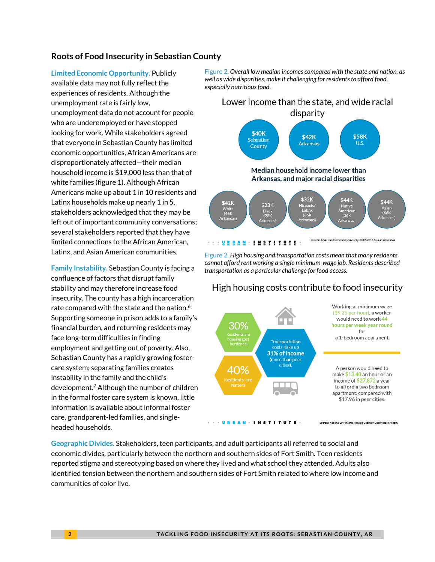#### **Roots of Food Insecurity in Sebastian County**

**Limited Economic Opportunity.** Publicly available data may not fully reflect the experiences of residents. Although the unemployment rate is fairly low, unemployment data do not account for people who are underemployed or have stopped looking for work. While stakeholders agreed that everyone in Sebastian County has limited economic opportunities, African Americans are disproportionately affected—their median household income is \$19,000 less than that of white families (figure 1). Although African Americans make up about 1 in 10 residents and Latinx households make up nearly 1 in 5, stakeholders acknowledged that they may be left out of important community conversations; several stakeholders reported that they have limited connections to the African American, Latinx, and Asian American communities.

**Family Instability.** Sebastian County is facing a confluence of factors that disrupt family stability and may therefore increase food insecurity. The county has a high incarceration rate compared with the state and the nation. $^6$ Supporting someone in prison adds to a family's financial burden, and returning residents may face long-term difficulties in finding employment and getting out of poverty. Also, Sebastian County has a rapidly growing fostercare system; separating families creates instability in the family and the child's development.<sup>7</sup> Although the number of children in the formal foster care system is known, little information is available about informal foster care, grandparent-led families, and singleheaded households.

Figure 2. Overall low median incomes compared with the state and nation, as *well as wide disparities, make it challenging for residents to afford food, especially nutritious food. especially nutritious food.*



Figure 2. *High housing and transportation costs mean that many residents cannot afford rent working a single minimum-wage job. Residents described transportation as a particular challenge for food access.*



High housing costs contribute to food insecurity

**Geographic Divides.** Stakeholders, teen participants, and adult participants all referred to social and economic divides, particularly between the northern and southern sides of Fort Smith. Teen residents reported stigma and stereotyping based on where they lived and what school they attended. Adults also identified tension between the northern and southern sides of Fort Smith related to where low income and communities of color live.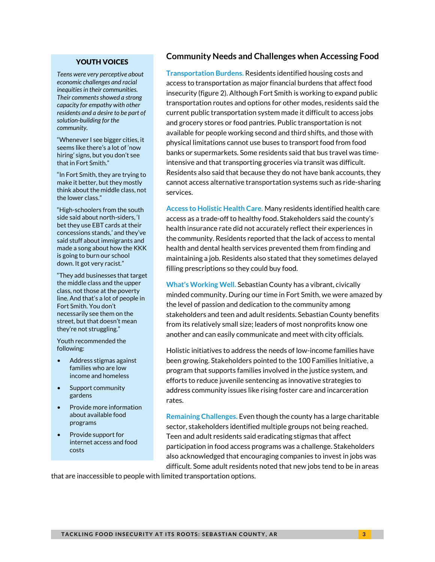#### YOUTH VOICES

*Teens were very perceptive about economic challenges and racial inequities in their communities. Their comments showed a strong capacity for empathy with other residents and a desire to be part of solution-building for the community.*

"Whenever I see bigger cities, it seems like there's a lot of 'now hiring' signs, but you don't see that in Fort Smith."

"In Fort Smith, they are trying to make it better, but they mostly think about the middle class, not the lower class."

"High-schoolers from the south side said about north-siders, 'I bet they use EBT cards at their concessions stands,' and they've said stuff about immigrants and made a song about how the KKK is going to burn our school down. It got very racist."

"They add businesses that target the middle class and the upper class, not those at the poverty line. And that's a lot of people in Fort Smith. You don't necessarily see them on the street, but that doesn't mean they're not struggling."

Youth recommended the following:

- Address stigmas against families who are low income and homeless
- Support community gardens
- Provide more information about available food programs
- Provide support for internet access and food costs

#### **Community Needs and Challenges when Accessing Food**

**Transportation Burdens.** Residents identified housing costs and access to transportation as major financial burdens that affect food insecurity (figure 2). Although Fort Smith is working to expand public transportation routes and options for other modes, residents said the current public transportation system made it difficult to access jobs and grocery stores or food pantries. Public transportation is not available for people working second and third shifts, and those with physical limitations cannot use buses to transport food from food banks or supermarkets. Some residents said that bus travel was timeintensive and that transporting groceries via transit was difficult. Residents also said that because they do not have bank accounts, they cannot access alternative transportation systems such as ride-sharing services.

**Access to Holistic Health Care.** Many residents identified health care access as a trade-off to healthy food. Stakeholders said the county's health insurance rate did not accurately reflect their experiences in the community. Residents reported that the lack of access to mental health and dental health services prevented them from finding and maintaining a job. Residents also stated that they sometimes delayed filling prescriptions so they could buy food.

**What's Working Well.** Sebastian County has a vibrant, civically minded community. During our time in Fort Smith, we were amazed by the level of passion and dedication to the community among stakeholders and teen and adult residents. Sebastian County benefits from its relatively small size; leaders of most nonprofits know one another and can easily communicate and meet with city officials.

Holistic initiatives to address the needs of low-income families have been growing. Stakeholders pointed to the 100 Families Initiative, a program that supports families involved in the justice system, and efforts to reduce juvenile sentencing as innovative strategies to address community issues like rising foster care and incarceration rates.

**Remaining Challenges.** Even though the county has a large charitable sector, stakeholders identified multiple groups not being reached. Teen and adult residents said eradicating stigmas that affect participation in food access programs was a challenge. Stakeholders also acknowledged that encouraging companies to invest in jobs was difficult. Some adult residents noted that new jobs tend to be in areas

that are inaccessible to people with limited transportation options.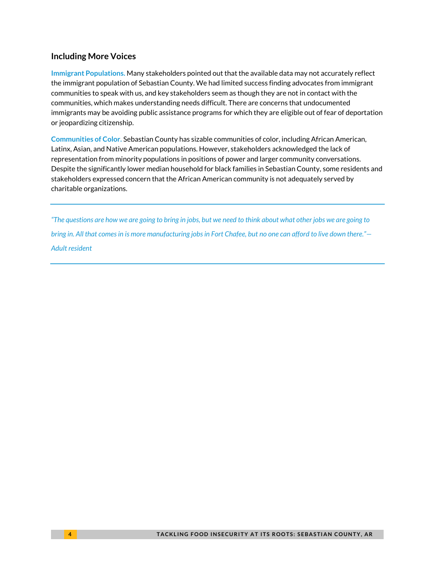#### **Including More Voices**

**Immigrant Populations.** Many stakeholders pointed out that the available data may not accurately reflect the immigrant population of Sebastian County. We had limited success finding advocates from immigrant communities to speak with us, and key stakeholders seem as though they are not in contact with the communities, which makes understanding needs difficult. There are concerns that undocumented immigrants may be avoiding public assistance programs for which they are eligible out of fear of deportation or jeopardizing citizenship.

**Communities of Color.** Sebastian County has sizable communities of color, including African American, Latinx, Asian, and Native American populations. However, stakeholders acknowledged the lack of representation from minority populations in positions of power and larger community conversations. Despite the significantly lower median household for black families in Sebastian County, some residents and stakeholders expressed concern that the African American community is not adequately served by charitable organizations.

*"The questions are how we are going to bring in jobs, but we need to think about what other jobs we are going to bring in. All that comes in is more manufacturing jobs in Fort Chafee, but no one can afford to live down there."— Adult resident*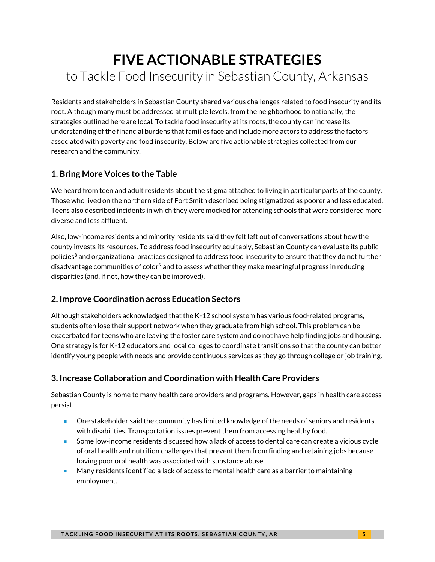# **FIVE ACTIONABLE STRATEGIES** to Tackle Food Insecurity in Sebastian County, Arkansas

Residents and stakeholders in Sebastian County shared various challenges related to food insecurity and its root. Although many must be addressed at multiple levels, from the neighborhood to nationally, the strategies outlined here are local. To tackle food insecurity at its roots, the county can increase its understanding of the financial burdens that families face and include more actors to address the factors associated with poverty and food insecurity. Below are five actionable strategies collected from our research and the community.

# **1. Bring More Voices to the Table**

We heard from teen and adult residents about the stigma attached to living in particular parts of the county. Those who lived on the northern side of Fort Smith described being stigmatized as poorer and less educated. Teens also described incidents in which they were mocked for attending schools that were considered more diverse and less affluent.

Also, low-income residents and minority residents said they felt left out of conversations about how the county invests its resources. To address food insecurity equitably, Sebastian County can evaluate its public policies<sup>8</sup> and organizational practices designed to address food insecurity to ensure that they do not further disadvantage communities of color<sup>9</sup> and to assess whether they make meaningful progress in reducing disparities (and, if not, how they can be improved).

# **2. Improve Coordination across Education Sectors**

Although stakeholders acknowledged that the K-12 school system has various food-related programs, students often lose their support network when they graduate from high school. This problem can be exacerbated for teens who are leaving the foster care system and do not have help finding jobs and housing. One strategy is for K-12 educators and local colleges to coordinate transitions so that the county can better identify young people with needs and provide continuous services as they go through college or job training.

# **3. Increase Collaboration and Coordination with Health Care Providers**

Sebastian County is home to many health care providers and programs. However, gaps in health care access persist.

- **De Stakeholder said the community has limited knowledge of the needs of seniors and residents** with disabilities. Transportation issues prevent them from accessing healthy food.
- **Some low-income residents discussed how a lack of access to dental care can create a vicious cycle** of oral health and nutrition challenges that prevent them from finding and retaining jobs because having poor oral health was associated with substance abuse.
- **Many residents identified a lack of access to mental health care as a barrier to maintaining** employment.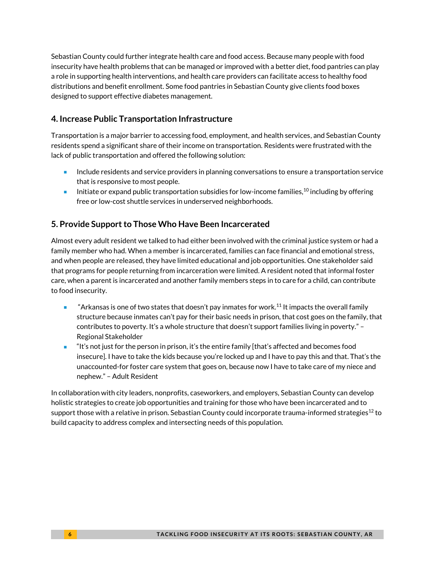Sebastian County could further integrate health care and food access. Because many people with food insecurity have health problems that can be managed or improved with a better diet, food pantries can play a role in supporting health interventions, and health care providers can facilitate access to healthy food distributions and benefit enrollment. Some food pantries in Sebastian County give clients food boxes designed to support effective diabetes management.

### **4. Increase Public Transportation Infrastructure**

Transportation is a major barrier to accessing food, employment, and health services, and Sebastian County residents spend a significant share of their income on transportation. Residents were frustrated with the lack of public transportation and offered the following solution:

- Include residents and service providers in planning conversations to ensure a transportation service that is responsive to most people.
- Initiate or expand public transportation subsidies for low-income families,  $^{10}$  including by offering free or low-cost shuttle services in underserved neighborhoods.

# **5. Provide Support to Those Who Have Been Incarcerated**

Almost every adult resident we talked to had either been involved with the criminal justice system or had a family member who had. When a member is incarcerated, families can face financial and emotional stress, and when people are released, they have limited educational and job opportunities. One stakeholder said that programs for people returning from incarceration were limited. A resident noted that informal foster care, when a parent is incarcerated and another family members steps in to care for a child, can contribute to food insecurity.

- "Arkansas is one of two states that doesn't pay inmates for work.<sup>11</sup> It impacts the overall family structure because inmates can't pay for their basic needs in prison, that cost goes on the family, that contributes to poverty. It's a whole structure that doesn't support families living in poverty." – Regional Stakeholder
- "It's not just for the person in prison, it's the entire family [that's affected and becomes food insecure]. I have to take the kids because you're locked up and I have to pay this and that. That's the unaccounted-for foster care system that goes on, because now I have to take care of my niece and nephew." – Adult Resident

In collaboration with city leaders, nonprofits, caseworkers, and employers, Sebastian County can develop holistic strategies to create job opportunities and training for those who have been incarcerated and to support those with a relative in prison. Sebastian County could incorporate trauma-informed strategies<sup>12</sup> to build capacity to address complex and intersecting needs of this population.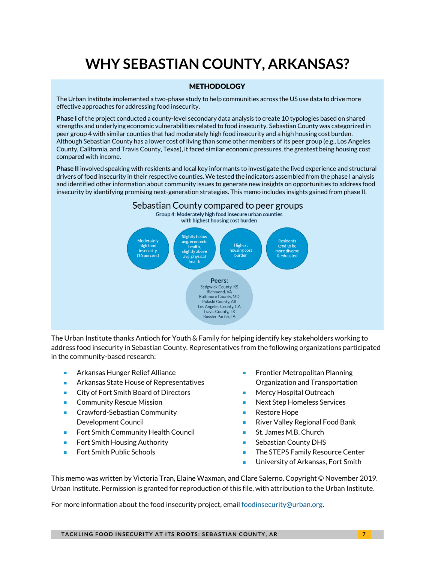# **WHY SEBASTIAN COUNTY, ARKANSAS?**

#### **METHODOLOGY**

The Urban Institute implemented a two-phase study to help communities across the US use data to drive more effective approaches for addressing food insecurity.

**Phase I** of the project conducted a county-level secondary data analysis to create 10 typologies based on shared strengths and underlying economic vulnerabilities related to food insecurity. Sebastian County was categorized in peer group 4 with similar counties that had moderately high food insecurity and a high housing cost burden. Although Sebastian County has a lower cost of living than some other members of its peer group (e.g., Los Angeles County, California, and Travis County, Texas), it faced similar economic pressures, the greatest being housing cost compared with income.

**Phase II** involved speaking with residents and local key informants to investigate the lived experience and structural drivers of food insecurity in their respective counties. We tested the indicators assembled from the phase I analysis and identified other information about community issues to generate new insights on opportunities to address food insecurity by identifying promising next-generation strategies. This memo includes insights gained from phase II.



The Urban Institute thanks Antioch for Youth & Family for helping identify key stakeholders working to address food insecurity in Sebastian County. Representatives from the following organizations participated in the community-based research:

- **Arkansas Hunger Relief Alliance**
- **Arkansas State House of Representatives**
- City of Fort Smith Board of Directors
- **Community Rescue Mission**
- **EXEC** Crawford-Sebastian Community Development Council
- **Fort Smith Community Health Council**
- **Fort Smith Housing Authority**
- **Fort Smith Public Schools**
- Frontier Metropolitan Planning Organization and Transportation
- Mercy Hospital Outreach
- Next Step Homeless Services
- **Restore Hope**
- River Valley Regional Food Bank
- St. James M.B. Church
- Sebastian County DHS
- **The STEPS Family Resource Center**
- **University of Arkansas, Fort Smith**

This memo was written by Victoria Tran, Elaine Waxman, and Clare Salerno. Copyright © November 2019. Urban Institute. Permission is granted for reproduction of this file, with attribution to the Urban Institute.

For more information about the food insecurity project, email [foodinsecurity@urban.org.](mailto:foodinsecurity@urban.org) 

**TACKLING FOOD INSECURITY AT ITS ROOTS: SEBASTIAN COUNTY, AR**